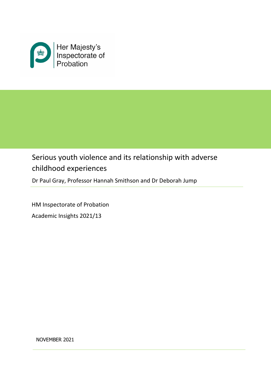

# Serious youth violence and its relationship with adverse childhood experiences

Dr Paul Gray, Professor Hannah Smithson and Dr Deborah Jump

HM Inspectorate of Probation Academic Insights 2021/13

NOVEMBER 2021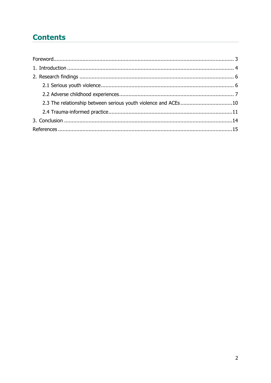## **Contents**

| 2.3 The relationship between serious youth violence and ACEs10 |  |
|----------------------------------------------------------------|--|
|                                                                |  |
|                                                                |  |
|                                                                |  |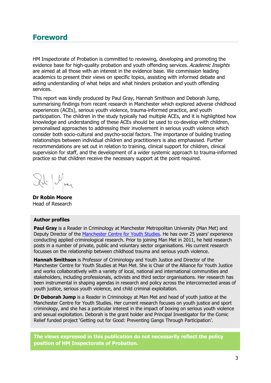### <span id="page-2-0"></span>**Foreword**

HM Inspectorate of Probation is committed to reviewing, developing and promoting the evidence base for high-quality probation and youth offending services. Academic Insights are aimed at all those with an interest in the evidence base. We commission leading academics to present their views on specific topics, assisting with informed debate and aiding understanding of what helps and what hinders probation and youth offending services.

This report was kindly produced by Paul Gray, Hannah Smithson and Deborah Jump, summarising findings from recent research in Manchester which explored adverse childhood experiences (ACEs), serious youth violence, trauma-informed practice, and youth participation. The children in the study typically had multiple ACEs, and it is highlighted how knowledge and understanding of these ACEs should be used to co-develop with children, personalised approaches to addressing their involvement in serious youth violence which consider both socio-cultural and psycho-social factors. The importance of building trusting relationships between individual children and practitioners is also emphasised. Further recommendations are set out in relation to training, clinical support for children, clinical supervision for staff, and the development of a wider systemic approach to trauma-informed practice so that children receive the necessary support at the point required.

Ilt / May

**Dr Robin Moore** Head of Research

#### **Author profiles**

**Paul Gray** is a Reader in Criminology at Manchester Metropolitan University (Man Met) and Deputy Director of the [Manchester Centre for Youth Studies.](https://www.mmu.ac.uk/mcys/) He has over 25 years' experience conducting applied criminological research. Prior to joining Man Met in 2011, he held research posts in a number of private, public and voluntary sector organisations. His current research focusses on the relationship between childhood trauma and serious youth violence.

**Hannah Smithson** is Professor of Criminology and Youth Justice and Director of the Manchester Centre for Youth Studies at Man Met. She is Chair of the Alliance for Youth Justice and works collaboratively with a variety of local, national and international communities and stakeholders, including professionals, activists and third sector organisations. Her research has been instrumental in shaping agendas in research and policy across the interconnected areas of youth justice, serious youth violence, and child criminal exploitation.

**Dr Deborah Jump** is a Reader in Criminology at Man Met and head of youth justice at the Manchester Centre for Youth Studies. Her current research focuses on youth justice and sport criminology, and she has a particular interest in the impact of boxing on serious youth violence and sexual exploitation. Deborah is the grant holder and Principal Investigator for the Comic Relief funded project 'Getting out for Good: Preventing Gangs Through Participation'.

**The views expressed in this publication do not necessarily reflect the policy position of HM Inspectorate of Probation.**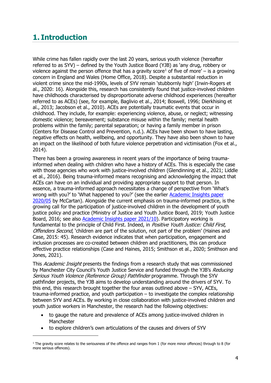### <span id="page-3-0"></span>**1. Introduction**

While crime has fallen rapidly over the last 20 years, serious youth violence (hereafter referred to as SYV) – defined by the Youth Justice Board (YJB) as 'any drug, robbery or violence against the person offence that has a gravity score<sup>[1](#page-3-1)</sup> of five of more' – is a growing concern in England and Wales (Home Office, 2018). Despite a substantial reduction in violent crime since the mid-1990s, levels of SYV remain 'stubbornly high' (Irwin-Rogers et al., 2020: 16). Alongside this, research has consistently found that justice-involved children have childhoods characterised by disproportionate adverse childhood experiences (hereafter referred to as ACEs) (see, for example, Baglivio et al., 2014; Boswell, 1996; Dierkhising et al., 2013; Jacobson et al., 2010). ACEs are potentially traumatic events that occur in childhood. They include, for example: experiencing violence, abuse, or neglect; witnessing domestic violence; bereavement; substance misuse within the family; mental health problems within the family; parental separation; or having a family member in prison (Centers for Disease Control and Prevention, n.d.). ACEs have been shown to have lasting, negative effects on health, wellbeing, and opportunity. They have also been shown to have an impact on the likelihood of both future violence perpetration and victimisation (Fox et al., 2014).

There has been a growing awareness in recent years of the importance of being traumainformed when dealing with children who have a history of ACEs. This is especially the case with those agencies who work with justice-involved children (Glendinning et al., 2021; Liddle et al., 2016). Being trauma-informed means recognising and acknowledging the impact that ACEs can have on an individual and providing appropriate support to that person. In essence, a trauma-informed approach necessitates a change of perspective from 'What's wrong with you?' to 'What happened to you?' (see the earlier Academic Insights paper [2020/05](https://www.justiceinspectorates.gov.uk/hmiprobation/wp-content/uploads/sites/5/2020/07/Academic-Insights-McCartan.pdf) by McCartan). Alongside the current emphasis on trauma-informed practice, is the growing call for the participation of justice-involved children in the development of youth justice policy and practice (Ministry of Justice and Youth Justice Board, 2019; Youth Justice Board, 2016; see also [Academic Insights paper 2021/10\)](https://www.justiceinspectorates.gov.uk/hmiprobation/wp-content/uploads/sites/5/2021/08/Academic-Insight-%E2%80%93-Supporting-childrens-meaningful-participation-in-the-youth-justice-system.pdf). Participatory working is fundamental to the principle of Child First. Indeed, in *Positive Youth Justice: Child First*, Offenders Second, 'children are part of the solution, not part of the problem' (Haines and Case, 2015: 45). Research evidence indicates that when participation, engagement and inclusion processes are co-created between children and practitioners, this can produce effective practice relationships (Case and Haines, 2015; Smithson et al., 2020; Smithson and Jones, 2021).

This Academic Insight presents the findings from a research study that was commissioned by Manchester City Council's Youth Justice Service and funded through the YJB's Reducing Serious Youth Violence (Reference Group) Pathfinder programme. Through the SYV pathfinder projects, the YJB aims to develop understanding around the drivers of SYV. To this end, this research brought together the four areas outlined above – SYV, ACEs, trauma-informed practice, and youth participation – to investigate the complex relationship between SYV and ACEs. By working in close collaboration with justice-involved children and youth justice workers in Manchester, the research had the following objectives:

- to gauge the nature and prevalence of ACEs among justice-involved children in **Manchester**
- to explore children's own articulations of the causes and drivers of SYV

<span id="page-3-1"></span> $1$  The gravity score relates to the seriousness of the offence and ranges from 1 (for more minor offences) through to 8 (for more serious offences).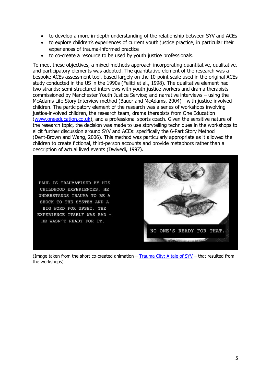- to develop a more in-depth understanding of the relationship between SYV and ACEs
- to explore children's experiences of current youth justice practice, in particular their experiences of trauma-informed practice
- to co-create a resource to be used by youth justice professionals.

To meet these objectives, a mixed-methods approach incorporating quantitative, qualitative, and participatory elements was adopted. The quantitative element of the research was a bespoke ACEs assessment tool, based largely on the 10-point scale used in the original ACEs study conducted in the US in the 1990s (Felitti et al., 1998). The qualitative element had two strands: semi-structured interviews with youth justice workers and drama therapists commissioned by Manchester Youth Justice Service; and narrative interviews – using the McAdams Life Story Interview method (Bauer and McAdams, 2004) – with justice-involved children. The participatory element of the research was a series of workshops involving justice-involved children, the research team, drama therapists from One Education [\(www.oneeducation.co.uk\)](http://www.oneeducation.co.uk/), and a professional sports coach. Given the sensitive nature of the research topic, the decision was made to use storytelling techniques in the workshops to elicit further discussion around SYV and ACEs: specifically the 6-Part Story Method (Dent-Brown and Wang, 2006). This method was particularly appropriate as it allowed the children to create fictional, third-person accounts and provide metaphors rather than a description of actual lived events (Dwivedi, 1997).

PAUL IS TRAUMATISED BY HIS CHILDHOOD EXPERIENCES, HE UNDERSTANDS TRAUMA TO BE A SHOCK TO THE SYSTEM AND A BIG WORD FOR UPSET. THE EXPERIENCE ITSELF WAS BAD -HE WASN'T READY FOR IT.



(Image taken from the short co-created animation  $-$  [Trauma City: A tale of SYV](https://vimeo.com/551504469) – that resulted from the workshops)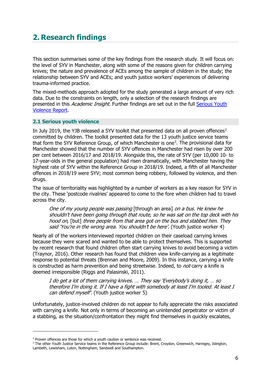## <span id="page-5-0"></span>**2. Research findings**

This section summarises some of the key findings from the research study. It will focus on: the level of SYV in Manchester, along with some of the reasons given for children carrying knives; the nature and prevalence of ACEs among the sample of children in the study; the relationship between SYV and ACEs; and youth justice workers' experiences of delivering trauma-informed practice.

The mixed-methods approach adopted for the study generated a large amount of very rich data. Due to the constraints on length, only a selection of the research findings are presented in this Academic Insight. Further findings are set out in the full Serious Youth [Violence Report.](https://www.mmu.ac.uk/media/mmuacuk/content/documents/mcys/Serious-Youth-Violence-Report---MCYS.pdf)

#### <span id="page-5-1"></span>**2.1 Serious youth violence**

In July [2](#page-5-2)019, the YJB released a SYV toolkit that presented data on all proven offences<sup>2</sup> committed by children. The toolkit presented data for the 13 youth justice service teams that form the SYV Reference Group, of which Manchester is one<sup>[3](#page-5-3)</sup>. The provisional data for Manchester showed that the number of SYV offences in Manchester had risen by over 200 per cent between 2016/17 and 2018/19. Alongside this, the rate of SYV (per 10,000 10- to 17-year-olds in the general population) had risen dramatically, with Manchester having the highest rate of SYV within the Reference Group in 2018/19. Indeed, a fifth of all Manchester offences in 2018/19 were SYV; most common being robbery, followed by violence, and then drugs.

The issue of territoriality was highlighted by a number of workers as a key reason for SYV in the city. These 'postcode rivalries' appeared to come to the fore when children had to travel across the city.

One of my young people was passing [through an area] on a bus. He knew he shouldn't have been going through that route, so he was sat on the top deck with his hood on, [but] three people from that area got on the bus and stabbed him. They said 'You're in the wrong area. You shouldn't be here'. (Youth justice worker 4)

Nearly all of the workers interviewed reported children on their caseload carrying knives because they were scared and wanted to be able to protect themselves. This is supported by recent research that found children often start carrying knives to avoid becoming a victim (Traynor, 2016). Other research has found that children view knife-carrying as a legitimate response to potential threats (Brennan and Moore, 2009). In this instance, carrying a knife is constructed as harm prevention and being streetwise. Indeed, to *not* carry a knife is deemed irresponsible (Riggs and Palasinski, 2011).

I do get a lot of them carrying knives. … They say 'Everybody's doing it, … so therefore I'm doing it. If I have a fight with somebody at least I'm tooled. At least I can defend myself'. (Youth justice worker 5)

Unfortunately, justice-involved children do not appear to fully appreciate the risks associated with carrying a knife. Not only in terms of becoming an unintended perpetrator or victim of a stabbing, as the situation/confrontation they might find themselves in quickly escalates,

<span id="page-5-2"></span><sup>&</sup>lt;sup>2</sup> Proven offences are those for which a youth caution or sentence was received.

<span id="page-5-3"></span><sup>&</sup>lt;sup>3</sup> The other Youth Justice Service teams in the Reference Group include: Brent, Croydon, Greenwich, Haringey, Islington, Lambeth, Lewisham, Luton, Nottingham, Sandwell and Southampton.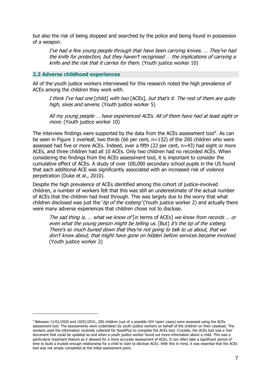but also the risk of being stopped and searched by the police and being found in possession of a weapon.

I've had a few young people through that have been carrying knives. … They've had the knife for protection, but they haven't recognised … the implications of carrying a knife and the risk that it carries for them. (Youth justice worker 10)

#### <span id="page-6-0"></span>**2.2 Adverse childhood experiences**

All of the youth justice workers interviewed for this research noted the high prevalence of ACEs among the children they work with.

I think I've had one [child] with two [ACEs], but that's it. The rest of them are quite high, sixes and sevens. (Youth justice worker 5)

All my young people … have experienced ACEs. All of them have had at least eight or more. (Youth justice worker 10)

The interview findings were supported by the data from the ACEs assessment tool<sup>[4](#page-6-1)</sup>. As can be seen in Figure 1 overleaf, two thirds (66 per cent, n=132) of the 200 children who were assessed had five or more ACEs. Indeed, over a fifth (22 per cent, n=43) had eight or more ACEs, and three children had all 10 ACEs. Only two children had no recorded ACEs. When considering the findings from the ACEs assessment tool, it is important to consider the cumulative effect of ACEs. A study of over 100,000 secondary school pupils in the US found that each additional ACE was significantly associated with an increased risk of violence perpetration (Duke et al., 2010).

Despite the high prevalence of ACEs identified among this cohort of justice-involved children, a number of workers felt that this was still an underestimate of the actual number of ACEs that the children had lived through. This was largely due to the worry that what children disclosed was just the '*tip of the iceberg'* (Youth justice worker 2) and actually there were many adverse experiences that children chose not to disclose.

The sad thing is, ... what we know of [in terms of ACEs] we know from records ... or even what the young person might be telling us. [But] it's the tip of the iceberg. There's so much buried down that they're not going to talk to us about, that we don't know about, that might have gone on hidden before services became involved. (Youth justice worker 2)

<span id="page-6-1"></span><sup>4</sup> Between 11/01/2020 and 10/01/2021, 200 children (out of a possible 424 'open' cases) were assessed using the ACEs assessment tool. The assessments were undertaken by youth justice workers on behalf of the children on their caseload. The workers used the information routinely collected for AssetPlus to complete the ACEs tool. Crucially, the ACEs tool was a 'live' document that could be updated as and when a youth justice worker found out more information about a child. This was a particularly important feature as it allowed for a more accurate assessment of ACEs. It can often take a significant period of time to build a trusted enough relationship for a child to start to disclose ACEs. With this in mind, it was essential that the ACEs tool was not simply completed at the initial assessment point.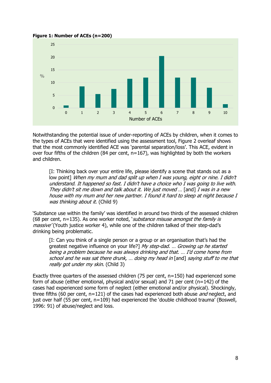

**Figure 1: Number of ACEs (n=200)**

Notwithstanding the potential issue of under-reporting of ACEs by children, when it comes to the types of ACEs that were identified using the assessment tool, Figure 2 overleaf shows that the most commonly identified ACE was 'parental separation/loss'. This ACE, evident in over four fifths of the children (84 per cent, n=167), was highlighted by both the workers and children.

[I: Thinking back over your entire life, please identify a scene that stands out as a low point] When my mum and dad split up when I was young, eight or nine. I didn't understand. It happened so fast. I didn't have a choice who I was going to live with. They didn't sit me down and talk about it. We just moved ... [and] I was in a new house with my mum and her new partner. I found it hard to sleep at night because I was thinking about it. (Child 9)

'Substance use within the family' was identified in around two thirds of the assessed children (68 per cent,  $n=135$ ). As one worker noted, *substance misuse amongst the family is* massive' (Youth justice worker 4), while one of the children talked of their step-dad's drinking being problematic.

[I: Can you think of a single person or a group or an organisation that's had the greatest negative influence on your life?] My step-dad. ... Growing up he started being a problem because he was always drinking and that. … I'd come home from school and he was sat there drunk, … doing my head in [and] saying stuff to me that really got under my skin. (Child 3)

Exactly three quarters of the assessed children (75 per cent, n=150) had experienced some form of abuse (either emotional, physical and/or sexual) and 71 per cent (n=142) of the cases had experienced some form of neglect (either emotional and/or physical). Shockingly, three fifths (60 per cent,  $n=121$ ) of the cases had experienced both abuse *and* neglect, and just over half (55 per cent, n=109) had experienced the 'double childhood trauma' (Boswell, 1996: 91) of abuse/neglect and loss.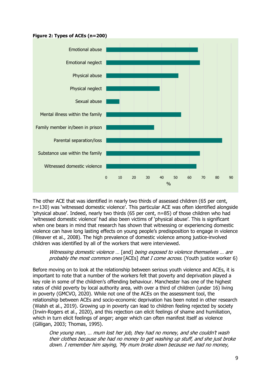



The other ACE that was identified in nearly two thirds of assessed children (65 per cent, n=130) was 'witnessed domestic violence'. This particular ACE was often identified alongside 'physical abuse'. Indeed, nearly two thirds (65 per cent, n=85) of those children who had 'witnessed domestic violence' had also been victims of 'physical abuse'. This is significant when one bears in mind that research has shown that witnessing or experiencing domestic violence can have long lasting effects on young people's predisposition to engage in violence (Weaver et al., 2008). The high prevalence of domestic violence among justice-involved children was identified by all of the workers that were interviewed.

#### Witnessing domestic violence ... [and] being exposed to violence themselves ... are probably the most common ones [ACEs] that I come across. (Youth justice worker 6)

Before moving on to look at the relationship between serious youth violence and ACEs, it is important to note that a number of the workers felt that poverty and deprivation played a key role in some of the children's offending behaviour. Manchester has one of the highest rates of child poverty by local authority area, with over a third of children (under 16) living in poverty (GMCVO, 2020). While not one of the ACEs on the assessment tool, the relationship between ACEs and socio-economic deprivation has been noted in other research (Walsh et al., 2019). Growing up in poverty can lead to children feeling rejected by society (Irwin-Rogers et al., 2020), and this rejection can elicit feelings of shame and humiliation, which in turn elicit feelings of anger; anger which can often manifest itself as violence (Gilligan, 2003; Thomas, 1995).

One young man, … mum lost her job, they had no money, and she couldn't wash their clothes because she had no money to get washing up stuff, and she just broke down. I remember him saying, 'My mum broke down because we had no money,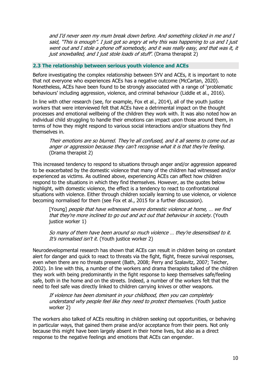and I'd never seen my mum break down before. And something clicked in me and I said, "This is enough". I just got so angry at why this was happening to us and I just went out and I stole a phone off somebody, and it was really easy, and that was it, it just snowballed, and I just stole loads of stuff'. (Drama therapist 2)

#### <span id="page-9-0"></span>**2.3 The relationship between serious youth violence and ACEs**

Before investigating the complex relationship between SYV and ACEs, it is important to note that not everyone who experiences ACEs has a negative outcome (McCartan, 2020). Nonetheless, ACEs have been found to be strongly associated with a range of 'problematic behaviours' including aggression, violence, and criminal behaviour (Liddle et al., 2016).

In line with other research (see, for example, Fox et al., 2014), all of the youth justice workers that were interviewed felt that ACEs have a detrimental impact on the thought processes and emotional wellbeing of the children they work with. It was also noted how an individual child struggling to handle their emotions can impact upon those around them, in terms of how they might respond to various social interactions and/or situations they find themselves in.

Their emotions are so blurred. They're all confused, and it all seems to come out as anger or aggression because they can't recognise what it is that they're feeling. (Drama therapist 2)

This increased tendency to respond to situations through anger and/or aggression appeared to be exacerbated by the domestic violence that many of the children had witnessed and/or experienced as victims. As outlined above, experiencing ACEs can affect how children respond to the situations in which they find themselves. However, as the quotes below highlight, with domestic violence, the effect is a tendency to react to confrontational situations with violence. Either through children socially learning to use violence, or violence becoming normalised for them (see Fox et al., 2015 for a further discussion).

[Young] people that have witnessed severe domestic violence at home, ... we find that they're more inclined to go out and act out that behaviour in society. (Youth justice worker 1)

So many of them have been around so much violence … they're desensitised to it. It's normalised isn't it. (Youth justice worker 2)

Neurodevelopmental research has shown that ACEs can result in children being on constant alert for danger and quick to react to threats via the fight, flight, freeze survival responses, even when there are no threats present (Bath, 2008; Perry and Szalavitz, 2007; Teicher, 2002). In line with this, a number of the workers and drama therapists talked of the children they work with being predominantly in the fight response to keep themselves safe/feeling safe, both in the home and on the streets. Indeed, a number of the workers felt that the need to feel safe was directly linked to children carrying knives or other weapons.

If violence has been dominant in your childhood, then you can completely understand why people feel like they need to protect themselves. (Youth justice worker 2)

The workers also talked of ACEs resulting in children seeking out opportunities, or behaving in particular ways, that gained them praise and/or acceptance from their peers. Not only because this might have been largely absent in their home lives, but also as a direct response to the negative feelings and emotions that ACEs can engender.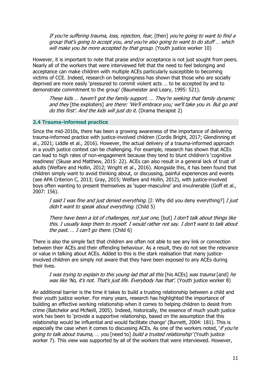If you're suffering trauma, loss, rejection, fear, [then] you're going to want to find a group that's going to accept you, and you're also going to want to do stuff … which will make you be more accepted by that group. (Youth justice worker 10)

However, it is important to note that praise and/or acceptance is not just sought from peers. Nearly all of the workers that were interviewed felt that the need to feel belonging and acceptance can make children with multiple ACEs particularly susceptible to becoming victims of CCE. Indeed, research on belongingness has shown that those who are socially deprived are more easily 'pressured to commit violent acts … to be accepted by and to demonstrate commitment to the group' (Baumeister and Leary, 1995: 521).

These kids … haven't got the family support. … They're seeking that family dynamic and they [the exploiters] are there: 'We'll embrace you; we'll take you in. But go and do this first'. And the kids will just do it. (Drama therapist 2)

#### <span id="page-10-0"></span>**2.4 Trauma-informed practice**

Since the mid-2010s, there has been a growing awareness of the importance of delivering trauma-informed practice with justice-involved children (Cordis Bright, 2017; Glendinning et al., 2021; Liddle et al., 2016). However, the actual delivery of a trauma-informed approach in a youth justice context can be challenging. For example, research has shown that ACEs can lead to high rates of non-engagement because they tend to blunt children's 'cognitive readiness' (Skuse and Matthew, 2015: 22). ACEs can also result in a general lack of trust of adults (Welfare and Hollin, 2012; Wright et al., 2016). Alongside this, it has been found that children simply want to avoid thinking about, or discussing, painful experiences and events (see APA Criterion C, 2013; Gray, 2015; Welfare and Hollin, 2012), with justice-involved boys often wanting to present themselves as 'super-masculine' and invulnerable (Goff et al., 2007: 156).

I said I was fine and just denied everything. [I: Why did you deny everything?] I just didn't want to speak about everything. (Child 5)

There have been a lot of challenges, not just one, [but] I don't talk about things like this. I usually keep them to myself. I would rather not say. I don't want to talk about the past.  $\ldots$  I can't go there. (Child 6)

There is also the simple fact that children are often not able to see any link or connection between their ACEs and their offending behaviour. As a result, they do not see the relevance or value in talking about ACEs. Added to this is the stark realisation that many justiceinvolved children are simply not aware that they have been exposed to any ACEs during their lives.

I was trying to explain to this young lad that all this [his ACEs] was trauma [and] he was like 'No, it's not. That's just life. Everybody has that'. (Youth justice worker 8)

An additional barrier is the time it takes to build a trusting relationship between a child and their youth justice worker. For many years, research has highlighted the importance of building an effective working relationship when it comes to helping children to desist from crime (Batchelor and McNeill, 2005). Indeed, historically, the essence of much youth justice work has been to 'provide a supportive relationship, based on the assumption that this relationship would be influential and would facilitate change' (Burnett, 2004: 181). This is especially the case when it comes to discussing ACEs. As one of the workers noted, 'if you're going to talk about trauma, ... you [need to] build a trusted relationship' (Youth justice worker 7). This view was supported by all of the workers that were interviewed. However,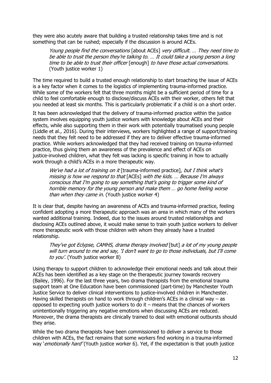they were also acutely aware that building a trusted relationship takes time and is not something that can be rushed; especially if the discussion is around ACEs.

Young people find the conversations [about ACEs] very difficult. ... They need time to be able to trust the person they're talking to. … It could take a young person a long time to be able to trust their officer [enough] to have those actual conversations. (Youth justice worker 1)

The time required to build a trusted enough relationship to start broaching the issue of ACEs is a key factor when it comes to the logistics of implementing trauma-informed practice. While some of the workers felt that three months might be a sufficient period of time for a child to feel comfortable enough to disclose/discuss ACEs with their worker, others felt that you needed at least six months. This is particularly problematic if a child is on a short order.

It has been acknowledged that the delivery of trauma-informed practice within the justice system involves equipping youth justice workers with knowledge about ACEs and their effects, while also supporting them in their work with potentially traumatised young people (Liddle et al., 2016). During their interviews, workers highlighted a range of support/training needs that they felt need to be addressed if they are to deliver effective trauma-informed practice. While workers acknowledged that they had received training on trauma-informed practice, thus giving them an awareness of the prevalence and effect of ACEs on justice-involved children, what they felt was lacking is specific training in how to actually work through a child's ACEs in a more therapeutic way.

We've had a lot of training on it [trauma-informed practice], but I think what's missing is how we respond to that [ACEs] with the kids. … Because I'm always conscious that I'm going to say something that's going to trigger some kind of horrible memory for the young person and make them … go home feeling worse than when they came in. (Youth justice worker 4)

It is clear that, despite having an awareness of ACEs and trauma-informed practice, feeling confident adopting a more therapeutic approach was an area in which many of the workers wanted additional training. Indeed, due to the issues around trusted relationships and disclosing ACEs outlined above, it would make sense to train youth justice workers to deliver more therapeutic work with those children with whom they already have a trusted relationship.

They've got Eclypse, CAMHS, drama therapy involved [but] a lot of my young people will turn around to me and say, 'I don't want to go to those individuals, but I'll come to you'. (Youth justice worker 8)

Using therapy to support children to acknowledge their emotional needs and talk about their ACEs has been identified as a key stage on the therapeutic journey towards recovery (Bailey, 1996). For the last three years, two drama therapists from the emotional trauma support team at One Education have been commissioned (part-time) by Manchester Youth Justice Service to deliver clinical interventions to justice-involved children in Manchester. Having skilled therapists on hand to work through children's ACEs in a clinical way – as opposed to expecting youth justice workers to do it – means that the chances of workers unintentionally triggering any negative emotions when discussing ACEs are reduced. Moreover, the drama therapists are clinically trained to deal with emotional outbursts should they arise.

While the two drama therapists have been commissioned to deliver a service to those children with ACEs, the fact remains that some workers find working in a trauma-informed way 'emotionally hard' (Youth justice worker 6). Yet, if the expectation is that youth justice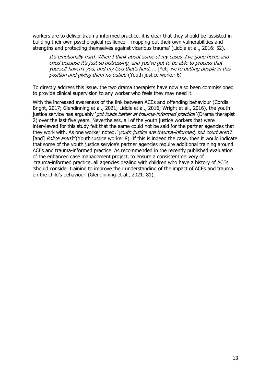workers are to deliver trauma-informed practice, it is clear that they should be 'assisted in building their own psychological resilience – mapping out their own vulnerabilities and strengths and protecting themselves against vicarious trauma' (Liddle et al., 2016: 52).

It's emotionally hard. When I think about some of my cases, I've gone home and cried because it's just so distressing, and you've got to be able to process that yourself haven't you, and my God that's hard. … [Yet] we're putting people in this position and giving them no outlet. (Youth justice worker 6)

To directly address this issue, the two drama therapists have now also been commissioned to provide clinical supervision to any worker who feels they may need it.

With the increased awareness of the link between ACEs and offending behaviour (Cordis Bright, 2017; Glendinning et al., 2021; Liddle et al., 2016; Wright et al., 2016), the youth justice service has arguably 'got loads better at trauma-informed practice' (Drama therapist 2) over the last five years. Nevertheless, all of the youth justice workers that were interviewed for this study felt that the same could not be said for the partner agencies that they work with. As one worker noted, *'vouth justice are trauma-informed, but court aren't* [and] *Police aren't'* (Youth justice worker 8). If this is indeed the case, then it would indicate that some of the youth justice service's partner agencies require additional training around ACEs and trauma-informed practice. As recommended in the recently published evaluation of the enhanced case management project, to ensure a consistent delivery of trauma-informed practice, all agencies dealing with children who have a history of ACEs 'should consider training to improve their understanding of the impact of ACEs and trauma on the child's behaviour' (Glendinning et al., 2021: 81).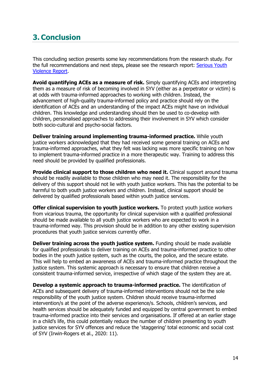## <span id="page-13-0"></span>**3. Conclusion**

This concluding section presents some key recommendations from the research study. For the full recommendations and next steps, please see the research report: [Serious Youth](https://www.mmu.ac.uk/media/mmuacuk/content/documents/mcys/Serious-Youth-Violence-Report---MCYS.pdf)  [Violence Report.](https://www.mmu.ac.uk/media/mmuacuk/content/documents/mcys/Serious-Youth-Violence-Report---MCYS.pdf)

**Avoid quantifying ACEs as a measure of risk.** Simply quantifying ACEs and interpreting them as a measure of risk of becoming involved in SYV (either as a perpetrator or victim) is at odds with trauma-informed approaches to working with children. Instead, the advancement of high-quality trauma-informed policy and practice should rely on the identification of ACEs and an understanding of the impact ACEs might have on individual children. This knowledge and understanding should then be used to co-develop with children, personalised approaches to addressing their involvement in SYV which consider both socio-cultural and psycho-social factors.

**Deliver training around implementing trauma-informed practice.** While youth justice workers acknowledged that they had received some general training on ACEs and trauma-informed approaches, what they felt was lacking was more specific training on how to implement trauma-informed practice in a more therapeutic way. Training to address this need should be provided by qualified professionals.

**Provide clinical support to those children who need it.** Clinical support around trauma should be readily available to those children who may need it. The responsibility for the delivery of this support should not lie with youth justice workers. This has the potential to be harmful to both youth justice workers and children. Instead, clinical support should be delivered by qualified professionals based within youth justice services.

**Offer clinical supervision to youth justice workers.** To protect youth justice workers from vicarious trauma, the opportunity for clinical supervision with a qualified professional should be made available to all youth justice workers who are expected to work in a trauma-informed way. This provision should be in addition to any other existing supervision procedures that youth justice services currently offer.

**Deliver training across the youth justice system.** Funding should be made available for qualified professionals to deliver training on ACEs and trauma-informed practice to other bodies in the youth justice system, such as the courts, the police, and the secure estate. This will help to embed an awareness of ACEs and trauma-informed practice throughout the justice system. This systemic approach is necessary to ensure that children receive a consistent trauma-informed service, irrespective of which stage of the system they are at.

**Develop a systemic approach to trauma-informed practice.** The identification of ACEs and subsequent delivery of trauma-informed interventions should not be the sole responsibility of the youth justice system. Children should receive trauma-informed intervention/s at the point of the adverse experience/s. Schools, children's services, and health services should be adequately funded and equipped by central government to embed trauma-informed practice into their services and organisations. If offered at an earlier stage in a child's life, this could potentially reduce the number of children presenting to youth justice services for SYV offences and reduce the 'staggering' total economic and social cost of SYV (Irwin-Rogers et al., 2020: 11).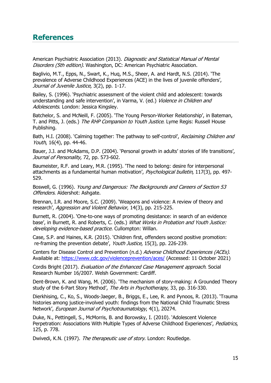### <span id="page-14-0"></span>**References**

American Psychiatric Association (2013). Diagnostic and Statistical Manual of Mental Disorders (5th edition). Washington, DC: American Psychiatric Association.

Baglivio, M.T., Epps, N., Swart, K., Huq, M.S., Sheer, A. and Hardt, N.S. (2014). 'The prevalence of Adverse Childhood Experiences (ACE) in the lives of juvenile offenders', Journal of Juvenile Justice, 3(2), pp. 1-17.

Bailey, S. (1996). 'Psychiatric assessment of the violent child and adolescent: towards understanding and safe intervention', in Varma, V. (ed.) Violence in Children and Adolescents. London: Jessica Kingsley.

Batchelor, S. and McNeill, F. (2005). 'The Young Person-Worker Relationship', in Bateman, T. and Pitts, J. (eds.) The RHP Companion to Youth Justice. Lyme Regis: Russell House Publishing.

Bath, H.I. (2008). 'Calming together: The pathway to self-control', Reclaiming Children and Youth, 16(4), pp. 44-46.

Bauer, J.J. and McAdams, D.P. (2004). 'Personal growth in adults' stories of life transitions', Journal of Personality, 72, pp. 573-602.

Baumeister, R.F. and Leary, M.R. (1995). 'The need to belong: desire for interpersonal attachments as a fundamental human motivation', *Psychological bulletin*, 117(3), pp. 497-529.

Boswell, G. (1996). Young and Dangerous: The Backgrounds and Careers of Section 53 Offenders. Aldershot: Ashgate.

Brennan, I.R. and Moore, S.C. (2009). 'Weapons and violence: A review of theory and research', Aggression and Violent Behavior, 14(3), pp. 215-225.

Burnett, R. (2004). 'One-to-one ways of promoting desistance: in search of an evidence base', in Burnett, R. and Roberts, C. (eds.) What Works in Probation and Youth Justice: developing evidence-based practice. Cullompton: Willan.

Case, S.P. and Haines, K.R. (2015). 'Children first, offenders second positive promotion: re-framing the prevention debate', Youth Justice, 15(3), pp. 226-239.

Centers for Disease Control and Prevention (n.d.) Adverse Childhood Experiences (ACEs). Available at:<https://www.cdc.gov/violenceprevention/aces/> (Accessed: 11 October 2021)

Cordis Bright (2017). Evaluation of the Enhanced Case Management approach. Social Research Number 16/2007. Welsh Government: Cardiff.

Dent-Brown, K. and Wang, M. (2006). 'The mechanism of story-making: A Grounded Theory study of the 6-Part Story Method', The Arts in Psychotherapy, 33, pp. 316-330.

Dierkhising, C., Ko, S., Woods-Jaeger, B., Briggs, E., Lee, R. and Pynoos, R. (2013). 'Trauma histories among justice-involved youth: findings from the National Child Traumatic Stress Network', European Journal of Psychotraumatology, 4(1), 20274.

Duke, N., Pettingell, S., McMorris, B. and Borowsky, I. (2010). 'Adolescent Violence Perpetration: Associations With Multiple Types of Adverse Childhood Experiences', Pediatrics, 125, p. 778.

Dwivedi, K.N. (1997). The therapeutic use of story. London: Routledge.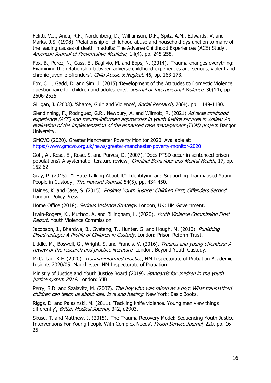Felitti, V.J., Anda, R.F., Nordenberg, D., Williamson, D.F., Spitz, A.M., Edwards, V. and Marks, J.S. (1998). 'Relationship of childhood abuse and household dysfunction to many of the leading causes of death in adults: The Adverse Childhood Experiences (ACE) Study', American Journal of Preventative Medicine, 14(4), pp. 245-258.

Fox, B., Perez, N., Cass, E., Baglivio, M. and Epps, N. (2014). 'Trauma changes everything: Examining the relationship between adverse childhood experiences and serious, violent and chronic juvenile offenders', Child Abuse & Neglect, 46, pp. 163-173.

Fox, C.L., Gadd, D. and Sim, J. (2015) 'Development of the Attitudes to Domestic Violence questionnaire for children and adolescents', Journal of Interpersonal Violence, 30(14), pp. 2506-2525.

Gilligan, J. (2003). 'Shame, Guilt and Violence', Social Research, 70(4), pp. 1149-1180.

Glendinning, F., Rodriguez, G.R., Newbury, A. and Wilmott, R. (2021) Adverse childhood experience (ACE) and trauma-informed approaches in youth justice services in Wales: An evaluation of the implementation of the enhanced case management (ECM) project. Bangor University.

GMCVO (2020). Greater Manchester Poverty Monitor 2020. Available at: <https://www.gmcvo.org.uk/news/greater-manchester-poverty-monitor-2020>

Goff, A., Rose, E., Rose, S. and Purves, D. (2007). 'Does PTSD occur in sentenced prison populations? A systematic literature review', Criminal Behaviour and Mental Health, 17, pp. 152-62.

Gray, P. (2015). '"I Hate Talking About It": Identifying and Supporting Traumatised Young People in Custody', The Howard Journal, 54(5), pp. 434-450.

Haines, K. and Case, S. (2015). Positive Youth Justice: Children First, Offenders Second. London: Policy Press.

Home Office (2018). Serious Violence Strategy. London, UK: HM Government.

Irwin-Rogers, K., Muthoo, A. and Billingham, L. (2020). Youth Violence Commission Final Report. Youth Violence Commission.

Jacobson, J., Bhardwa, B., Gyateng, T., Hunter, G. and Hough, M. (2010). Punishing Disadvantage: A Profile of Children in Custody. London: Prison Reform Trust.

Liddle, M., Boswell, G., Wright, S. and Francis, V. (2016). Trauma and young offenders: A review of the research and practice literature. London: Beyond Youth Custody.

McCartan, K.F. (2020). Trauma-informed practice, HM Inspectorate of Probation Academic Insights 2020/05. Manchester: HM Inspectorate of Probation.

Ministry of Justice and Youth Justice Board (2019). Standards for children in the youth justice system 2019. London: YJB.

Perry, B.D. and Szalavitz, M. (2007). The boy who was raised as a dog: What traumatized children can teach us about loss, love and healing. New York: Basic Books.

Riggs, D. and Palasinski, M. (2011). 'Tackling knife violence. Young men view things differently', British Medical Journal, 342, d2903.

Skuse, T. and Matthew, J. (2015). 'The Trauma Recovery Model: Sequencing Youth Justice Interventions For Young People With Complex Needs', Prison Service Journal, 220, pp. 16-25.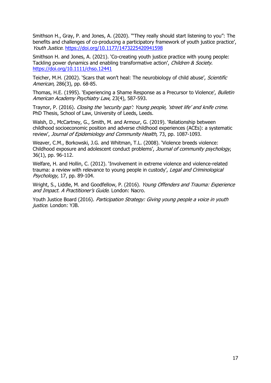Smithson H., Gray, P. and Jones, A. (2020). '"They really should start listening to you": The benefits and challenges of co-producing a participatory framework of youth justice practice', Youth Justice. [https://doi.org/10.1177/1473225420941598](https://doi.org/10.1177%2F1473225420941598)

Smithson H. and Jones, A. (2021). 'Co-creating youth justice practice with young people: Tackling power dynamics and enabling transformative action', Children & Society. <https://doi.org/10.1111/chso.12441>

Teicher, M.H. (2002). 'Scars that won't heal: The neurobiology of child abuse', Scientific American, 286(3), pp. 68-85.

Thomas, H.E. (1995). 'Experiencing a Shame Response as a Precursor to Violence', *Bulletin* American Academy Psychiatry Law, 23(4), 587-593.

Traynor, P. (2016). Closing the 'security gap': Young people, 'street life' and knife crime. PhD Thesis, School of Law, University of Leeds, Leeds.

Walsh, D., McCartney, G., Smith, M. and Armour, G. (2019). 'Relationship between childhood socioeconomic position and adverse childhood experiences (ACEs): a systematic review', Journal of Epidemiology and Community Health, 73, pp. 1087-1093.

Weaver, C.M., Borkowski, J.G. and Whitman, T.L. (2008). 'Violence breeds violence: Childhood exposure and adolescent conduct problems', Journal of community psychology, 36(1), pp. 96-112.

Welfare, H. and Hollin, C. (2012). 'Involvement in extreme violence and violence-related trauma: a review with relevance to young people in custody', Legal and Criminological Psychology, 17, pp. 89-104.

Wright, S., Liddle, M. and Goodfellow, P. (2016). *Young Offenders and Trauma: Experience* and Impact. A Practitioner's Guide. London: Nacro.

Youth Justice Board (2016). Participation Strategy: Giving young people a voice in youth justice. London: YJB.